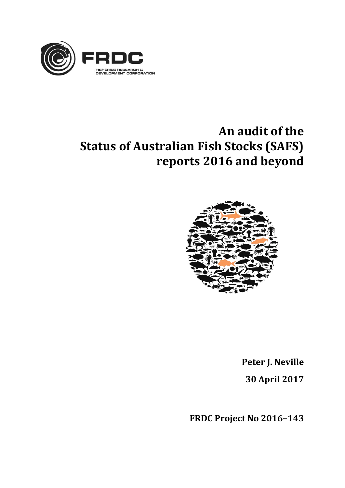

# **An audit of the Status of Australian Fish Stocks (SAFS) reports 2016 and beyond**



**Peter J. Neville 30 April 2017**

**FRDC Project No 2016–143**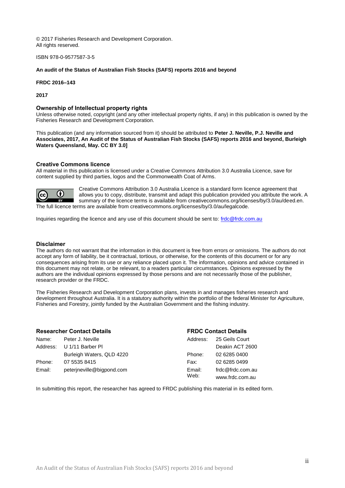© 2017 Fisheries Research and Development Corporation. All rights reserved.

ISBN [978-0-9577587-3-5](https://www.myidentifiers.com.au/myaccount_manageisbns_titlereg?isbn=978-0-9577587-3-5&icon_type=new)

**An audit of the Status of Australian Fish Stocks (SAFS) reports 2016 and beyond**

**FRDC 2016–143**

**2017**

#### **Ownership of Intellectual property rights**

Unless otherwise noted, copyright (and any other intellectual property rights, if any) in this publication is owned by the Fisheries Research and Development Corporation.

This publication (and any information sourced from it) should be attributed to **Peter J. Neville, P.J. Neville and Associates, 2017, An Audit of the Status of Australian Fish Stocks (SAFS) reports 2016 and beyond, Burleigh Waters Queensland, May. CC BY 3.0]**

#### **Creative Commons licence**

All material in this publication is licensed under a Creative Commons Attribution 3.0 Australia Licence, save for content supplied by third parties, logos and the Commonwealth Coat of Arms.



Creative Commons Attribution 3.0 Australia Licence is a standard form licence agreement that allows you to copy, distribute, transmit and adapt this publication provided you attribute the work. A summary of the licence terms is available from creativecommons.org/licenses/by/3.0/au/deed.en. The full licence terms are available from creativecommons.org/licenses/by/3.0/au/legalcode.

Inquiries regarding the licence and any use of this document should be sent to: [frdc@frdc.com.au](mailto:frdc@frdc.com.au)

#### **Disclaimer**

The authors do not warrant that the information in this document is free from errors or omissions. The authors do not accept any form of liability, be it contractual, tortious, or otherwise, for the contents of this document or for any consequences arising from its use or any reliance placed upon it. The information, opinions and advice contained in this document may not relate, or be relevant, to a readers particular circumstances. Opinions expressed by the authors are the individual opinions expressed by those persons and are not necessarily those of the publisher, research provider or the FRDC.

The Fisheries Research and Development Corporation plans, invests in and manages fisheries research and development throughout Australia. It is a statutory authority within the portfolio of the federal Minister for Agriculture, Fisheries and Forestry, jointly funded by the Australian Government and the fishing industry.

| <b>Researcher Contact Details</b> |                           |                | <b>FRDC Contact Details</b> |  |
|-----------------------------------|---------------------------|----------------|-----------------------------|--|
| Name:                             | Peter J. Neville          | Address:       | 25 Geils Court              |  |
|                                   | Address: U 1/11 Barber PI |                | Deakin ACT 2600             |  |
|                                   | Burleigh Waters, QLD 4220 | Phone:         | 02 6285 0400                |  |
| Phone:                            | 07 5535 8415              | Fax:           | 02 6285 0499                |  |
| Email:                            | peterjneville@bigpond.com | Email:<br>Web: | frdc@frdc.com.au            |  |
|                                   |                           |                | www.frdc.com.au             |  |

In submitting this report, the researcher has agreed to FRDC publishing this material in its edited form.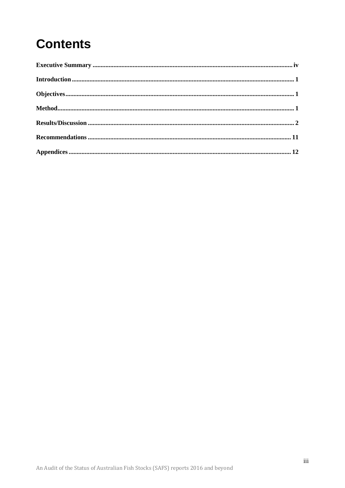# **Contents**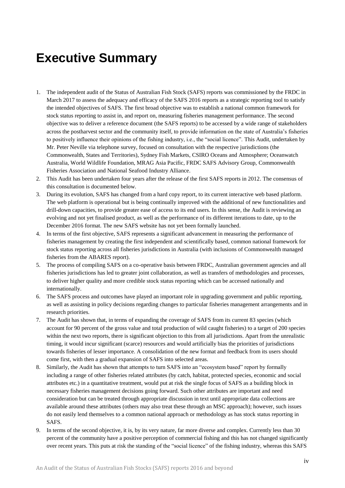## <span id="page-3-0"></span>**Executive Summary**

- 1. The independent audit of the Status of Australian Fish Stock (SAFS) reports was commissioned by the FRDC in March 2017 to assess the adequacy and efficacy of the SAFS 2016 reports as a strategic reporting tool to satisfy the intended objectives of SAFS. The first broad objective was to establish a national common framework for stock status reporting to assist in, and report on, measuring fisheries management performance. The second objective was to deliver a reference document (the SAFS reports) to be accessed by a wide range of stakeholders across the postharvest sector and the community itself, to provide information on the state of Australia's fisheries to positively influence their opinions of the fishing industry, i.e., the "social licence". This Audit, undertaken by Mr. Peter Neville via telephone survey, focused on consultation with the respective jurisdictions (the Commonwealth, States and Territories), Sydney Fish Markets, CSIRO Oceans and Atmosphere; Oceanwatch Australia, World Wildlife Foundation, MRAG Asia Pacific, FRDC SAFS Advisory Group, Commonwealth Fisheries Association and National Seafood Industry Alliance.
- 2. This Audit has been undertaken four years after the release of the first SAFS reports in 2012. The consensus of this consultation is documented below.
- 3. During its evolution, SAFS has changed from a hard copy report, to its current interactive web based platform. The web platform is operational but is being continually improved with the additional of new functionalities and drill-down capacities, to provide greater ease of access to its end users. In this sense, the Audit is reviewing an evolving and not yet finalised product, as well as the performance of its different iterations to date, up to the December 2016 format. The new SAFS website has not yet been formally launched.
- 4. In terms of the first objective, SAFS represents a significant advancement in measuring the performance of fisheries management by creating the first independent and scientifically based, common national framework for stock status reporting across all fisheries jurisdictions in Australia (with inclusions of Commonwealth managed fisheries from the ABARES report).
- 5. The process of compiling SAFS on a co-operative basis between FRDC, Australian government agencies and all fisheries jurisdictions has led to greater joint collaboration, as well as transfers of methodologies and processes, to deliver higher quality and more credible stock status reporting which can be accessed nationally and internationally.
- 6. The SAFS process and outcomes have played an important role in upgrading government and public reporting, as well as assisting in policy decisions regarding changes to particular fisheries management arrangements and in research priorities.
- 7. The Audit has shown that, in terms of expanding the coverage of SAFS from its current 83 species (which account for 90 percent of the gross value and total production of wild caught fisheries) to a target of 200 species within the next two reports, there is significant objection to this from all jurisdictions. Apart from the unrealistic timing, it would incur significant (scarce) resources and would artificially bias the priorities of jurisdictions towards fisheries of lesser importance. A consolidation of the new format and feedback from its users should come first, with then a gradual expansion of SAFS into selected areas.
- 8. Similarly, the Audit has shown that attempts to turn SAFS into an "ecosystem based" report by formally including a range of other fisheries related attributes (by catch, habitat, protected species, economic and social attributes etc.) in a quantitative treatment, would put at risk the single focus of SAFS as a building block in necessary fisheries management decisions going forward. Such other attributes are important and need consideration but can be treated through appropriate discussion in text until appropriate data collections are available around these attributes (others may also treat these through an MSC approach); however, such issues do not easily lend themselves to a common national approach or methodology as has stock status reporting in SAFS.
- 9. In terms of the second objective, it is, by its very nature, far more diverse and complex. Currently less than 30 percent of the community have a positive perception of commercial fishing and this has not changed significantly over recent years. This puts at risk the standing of the "social licence" of the fishing industry, whereas this SAFS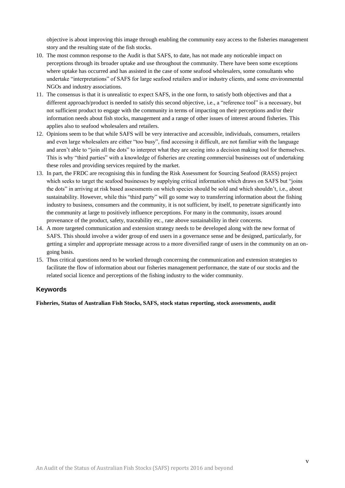objective is about improving this image through enabling the community easy access to the fisheries management story and the resulting state of the fish stocks.

- 10. The most common response to the Audit is that SAFS, to date, has not made any noticeable impact on perceptions through its broader uptake and use throughout the community. There have been some exceptions where uptake has occurred and has assisted in the case of some seafood wholesalers, some consultants who undertake "interpretations" of SAFS for large seafood retailers and/or industry clients, and some environmental NGOs and industry associations.
- 11. The consensus is that it is unrealistic to expect SAFS, in the one form, to satisfy both objectives and that a different approach/product is needed to satisfy this second objective, i.e., a "reference tool" is a necessary, but not sufficient product to engage with the community in terms of impacting on their perceptions and/or their information needs about fish stocks, management and a range of other issues of interest around fisheries. This applies also to seafood wholesalers and retailers.
- 12. Opinions seem to be that while SAFS will be very interactive and accessible, individuals, consumers, retailers and even large wholesalers are either "too busy", find accessing it difficult, are not familiar with the language and aren't able to "join all the dots" to interpret what they are seeing into a decision making tool for themselves. This is why "third parties" with a knowledge of fisheries are creating commercial businesses out of undertaking these roles and providing services required by the market.
- 13. In part, the FRDC are recognising this in funding the Risk Assessment for Sourcing Seafood (RASS) project which seeks to target the seafood businesses by supplying critical information which draws on SAFS but "joins the dots" in arriving at risk based assessments on which species should be sold and which shouldn't, i.e., about sustainability. However, while this "third party" will go some way to transferring information about the fishing industry to business, consumers and the community, it is not sufficient, by itself, to penetrate significantly into the community at large to positively influence perceptions. For many in the community, issues around provenance of the product, safety, traceability etc., rate above sustainability in their concerns.
- 14. A more targeted communication and extension strategy needs to be developed along with the new format of SAFS. This should involve a wider group of end users in a governance sense and be designed, particularly, for getting a simpler and appropriate message across to a more diversified range of users in the community on an ongoing basis.
- 15. Thus critical questions need to be worked through concerning the communication and extension strategies to facilitate the flow of information about our fisheries management performance, the state of our stocks and the related social licence and perceptions of the fishing industry to the wider community.

#### **Keywords**

**Fisheries, Status of Australian Fish Stocks, SAFS, stock status reporting, stock assessments, audit**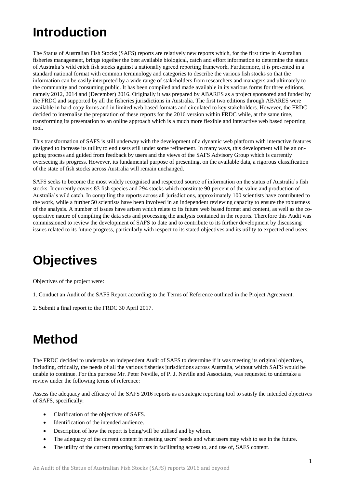# <span id="page-5-0"></span>**Introduction**

The Status of Australian Fish Stocks (SAFS) reports are relatively new reports which, for the first time in Australian fisheries management, brings together the best available biological, catch and effort information to determine the status of Australia's wild catch fish stocks against a nationally agreed reporting framework. Furthermore, it is presented in a standard national format with common terminology and categories to describe the various fish stocks so that the information can be easily interpreted by a wide range of stakeholders from researchers and managers and ultimately to the community and consuming public. It has been compiled and made available in its various forms for three editions, namely 2012, 2014 and (December) 2016. Originally it was prepared by ABARES as a project sponsored and funded by the FRDC and supported by all the fisheries jurisdictions in Australia. The first two editions through ABARES were available in hard copy forms and in limited web based formats and circulated to key stakeholders. However, the FRDC decided to internalise the preparation of these reports for the 2016 version within FRDC while, at the same time, transforming its presentation to an online approach which is a much more flexible and interactive web based reporting tool.

This transformation of SAFS is still underway with the development of a dynamic web platform with interactive features designed to increase its utility to end users still under some refinement. In many ways, this development will be an ongoing process and guided from feedback by users and the views of the SAFS Advisory Group which is currently overseeing its progress. However, its fundamental purpose of presenting, on the available data, a rigorous classification of the state of fish stocks across Australia will remain unchanged.

SAFS seeks to become the most widely recognised and respected source of information on the status of Australia's fish stocks. It currently covers 83 fish species and 294 stocks which constitute 90 percent of the value and production of Australia's wild catch. In compiling the reports across all jurisdictions, approximately 100 scientists have contributed to the work, while a further 50 scientists have been involved in an independent reviewing capacity to ensure the robustness of the analysis. A number of issues have arisen which relate to its future web based format and content, as well as the cooperative nature of compiling the data sets and processing the analysis contained in the reports. Therefore this Audit was commissioned to review the development of SAFS to date and to contribute to its further development by discussing issues related to its future progress, particularly with respect to its stated objectives and its utility to expected end users.

## <span id="page-5-1"></span>**Objectives**

Objectives of the project were:

- 1. Conduct an Audit of the SAFS Report according to the Terms of Reference outlined in the Project Agreement.
- 2. Submit a final report to the FRDC 30 April 2017.

## <span id="page-5-2"></span>**Method**

The FRDC decided to undertake an independent Audit of SAFS to determine if it was meeting its original objectives, including, critically, the needs of all the various fisheries jurisdictions across Australia, without which SAFS would be unable to continue. For this purpose Mr. Peter Neville, of P. J. Neville and Associates, was requested to undertake a review under the following terms of reference:

Assess the adequacy and efficacy of the SAFS 2016 reports as a strategic reporting tool to satisfy the intended objectives of SAFS, specifically:

- Clarification of the objectives of SAFS.
- Identification of the intended audience.
- Description of how the report is being/will be utilised and by whom.
- The adequacy of the current content in meeting users' needs and what users may wish to see in the future.
- The utility of the current reporting formats in facilitating access to, and use of, SAFS content.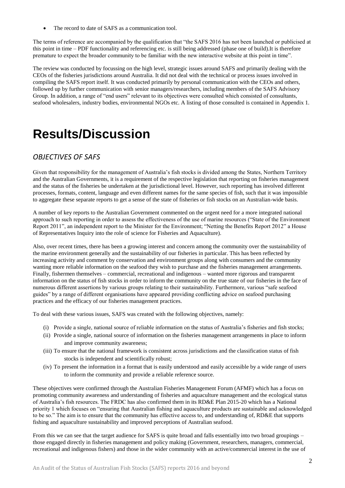The record to date of SAFS as a communication tool.

The terms of reference are accompanied by the qualification that "the SAFS 2016 has not been launched or publicised at this point in time – PDF functionality and referencing etc. is still being addressed (phase one of build).It is therefore premature to expect the broader community to be familiar with the new interactive website at this point in time".

The review was conducted by focussing on the high level, strategic issues around SAFS and primarily dealing with the CEOs of the fisheries jurisdictions around Australia. It did not deal with the technical or process issues involved in compiling the SAFS report itself. It was conducted primarily by personal communication with the CEOs and others, followed up by further communication with senior managers/researchers, including members of the SAFS Advisory Group. In addition, a range of "end users" relevant to its objectives were consulted which consisted of consultants, seafood wholesalers, industry bodies, environmental NGOs etc. A listing of those consulted is contained in Appendix 1.

## <span id="page-6-0"></span>**Results/Discussion**

### *OBJECTIVES OF SAFS*

Given that responsibility for the management of Australia's fish stocks is divided among the States, Northern Territory and the Australian Governments, it is a requirement of the respective legislation that reporting on fisheries management and the status of the fisheries be undertaken at the jurisdictional level. However, such reporting has involved different processes, formats, content, language and even different names for the same species of fish, such that it was impossible to aggregate these separate reports to get a sense of the state of fisheries or fish stocks on an Australian-wide basis.

A number of key reports to the Australian Government commented on the urgent need for a more integrated national approach to such reporting in order to assess the effectiveness of the use of marine resources ("State of the Environment Report 2011", an independent report to the Minister for the Environment; "Netting the Benefits Report 2012" a House of Representatives Inquiry into the role of science for Fisheries and Aquaculture).

Also, over recent times, there has been a growing interest and concern among the community over the sustainability of the marine environment generally and the sustainability of our fisheries in particular. This has been reflected by increasing activity and comment by conservation and environment groups along with consumers and the community wanting more reliable information on the seafood they wish to purchase and the fisheries management arrangements. Finally, fishermen themselves – commercial, recreational and indigenous – wanted more rigorous and transparent information on the status of fish stocks in order to inform the community on the true state of our fisheries in the face of numerous different assertions by various groups relating to their sustainability. Furthermore, various "safe seafood guides" by a range of different organisations have appeared providing conflicting advice on seafood purchasing practices and the efficacy of our fisheries management practices.

To deal with these various issues, SAFS was created with the following objectives, namely:

- (i) Provide a single, national source of reliable information on the status of Australia's fisheries and fish stocks;
- (ii) Provide a single, national source of information on the fisheries management arrangements in place to inform and improve community awareness;
- (iii) To ensure that the national framework is consistent across jurisdictions and the classification status of fish stocks is independent and scientifically robust;
- (iv) To present the information in a format that is easily understood and easily accessible by a wide range of users to inform the community and provide a reliable reference source.

These objectives were confirmed through the Australian Fisheries Management Forum (AFMF) which has a focus on promoting community awareness and understanding of fisheries and aquaculture management and the ecological status of Australia's fish resources. The FRDC has also confirmed them in its RD&E Plan 2015-20 which has a National priority 1 which focuses on "ensuring that Australian fishing and aquaculture products are sustainable and acknowledged to be so." The aim is to ensure that the community has effective access to, and understanding of, RD&E that supports fishing and aquaculture sustainability and improved perceptions of Australian seafood.

From this we can see that the target audience for SAFS is quite broad and falls essentially into two broad groupings – those engaged directly in fisheries management and policy making (Government, researchers, managers, commercial, recreational and indigenous fishers) and those in the wider community with an active/commercial interest in the use of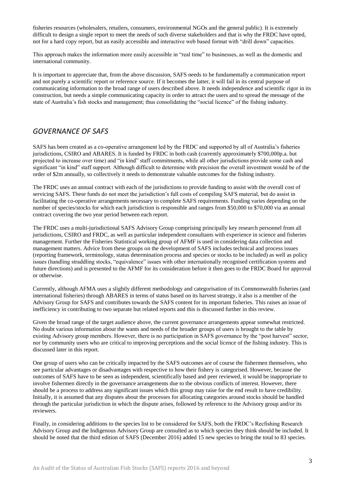fisheries resources (wholesalers, retailers, consumers, environmental NGOs and the general public). It is extremely difficult to design a single report to meet the needs of such diverse stakeholders and that is why the FRDC have opted, not for a hard copy report, but an easily accessible and interactive web based format with "drill down" capacities.

This approach makes the information more easily accessible in "real time" to businesses, as well as the domestic and international community.

It is important to appreciate that, from the above discussion, SAFS needs to be fundamentally a communication report and not purely a scientific report or reference source. If it becomes the latter, it will fail in its central purpose of communicating information to the broad range of users described above. It needs independence and scientific rigor in its construction, but needs a simple communicating capacity in order to attract the users and to spread the message of the state of Australia's fish stocks and management; thus consolidating the "social licence" of the fishing industry.

### *GOVERNANCE OF SAFS*

SAFS has been created as a co-operative arrangement led by the FRDC and supported by all of Australia's fisheries jurisdictions, CSIRO and ABARES. It is funded by FRDC in both cash (currently approximately \$700,000p.a. but projected to increase over time) and "in kind" staff commitments, while all other jurisdictions provide some cash and significant "in kind" staff support. Although difficult to determine with precision the overall investment would be of the order of \$2m annually, so collectively it needs to demonstrate valuable outcomes for the fishing industry.

The FRDC uses an annual contract with each of the jurisdictions to provide funding to assist with the overall cost of servicing SAFS. These funds do not meet the jurisdiction's full costs of compiling SAFS material, but do assist in facilitating the co-operative arrangements necessary to complete SAFS requirements. Funding varies depending on the number of species/stocks for which each jurisdiction is responsible and ranges from \$50,000 to \$70,000 via an annual contract covering the two year period between each report.

The FRDC uses a multi-jurisdictional SAFS Advisory Group comprising principally key research personnel from all jurisdictions, CSIRO and FRDC, as well as particular independent consultants with experience in science and fisheries management. Further the Fisheries Statistical working group of AFMF is used in considering data collection and management matters. Advice from these groups on the development of SAFS includes technical and process issues (reporting framework, terminology, status determination process and species or stocks to be included) as well as policy issues (handling straddling stocks, "equivalence" issues with other internationally recognised certification systems and future directions) and is presented to the AFMF for its consideration before it then goes to the FRDC Board for approval or otherwise.

Currently, although AFMA uses a slightly different methodology and categorisation of its Commonwealth fisheries (and international fisheries) through ABARES in terms of status based on its harvest strategy, it also is a member of the Advisory Group for SAFS and contributes towards the SAFS content for its important fisheries. This raises an issue of inefficiency in contributing to two separate but related reports and this is discussed further in this review.

Given the broad range of the target audience above, the current governance arrangements appear somewhat restricted. No doubt various information about the wants and needs of the broader groups of users is brought to the table by existing Advisory group members. However, there is no participation in SAFS governance by the "post harvest" sector, nor by community users who are critical to improving perceptions and the social licence of the fishing industry. This is discussed later in this report.

One group of users who can be critically impacted by the SAFS outcomes are of course the fishermen themselves, who see particular advantages or disadvantages with respective to how their fishery is categorised. However, because the outcomes of SAFS have to be seen as independent, scientifically based and peer reviewed, it would be inappropriate to involve fishermen directly in the governance arrangements due to the obvious conflicts of interest. However, there should be a process to address any significant issues which this group may raise for the end result to have credibility. Initially, it is assumed that any disputes about the processes for allocating categories around stocks should be handled through the particular jurisdiction in which the dispute arises, followed by reference to the Advisory group and/or its reviewers.

Finally, in considering additions to the species list to be considered for SAFS, both the FRDC's Recfishing Research Advisory Group and the Indigenous Advisory Group are consulted as to which species they think should be included. It should be noted that the third edition of SAFS (December 2016) added 15 new species to bring the total to 83 species.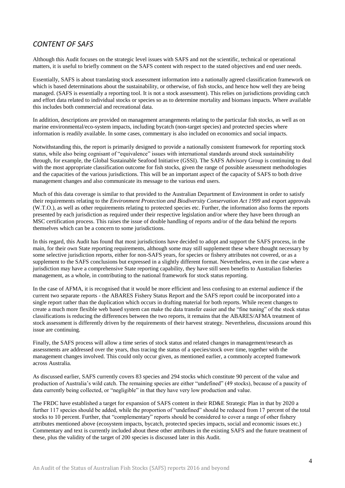### *CONTENT OF SAFS*

Although this Audit focuses on the strategic level issues with SAFS and not the scientific, technical or operational matters, it is useful to briefly comment on the SAFS content with respect to the stated objectives and end user needs.

Essentially, SAFS is about translating stock assessment information into a nationally agreed classification framework on which is based determinations about the sustainability, or otherwise, of fish stocks, and hence how well they are being managed. (SAFS is essentially a reporting tool. It is not a stock assessment). This relies on jurisdictions providing catch and effort data related to individual stocks or species so as to determine mortality and biomass impacts. Where available this includes both commercial and recreational data.

In addition, descriptions are provided on management arrangements relating to the particular fish stocks, as well as on marine environmental/eco-system impacts, including bycatch (non-target species) and protected species where information is readily available. In some cases, commentary is also included on economics and social impacts.

Notwithstanding this, the report is primarily designed to provide a nationally consistent framework for reporting stock status, while also being cognisant of "equivalence" issues with international standards around stock sustainability through, for example, the Global Sustainable Seafood Initiative (GSSI). The SAFS Advisory Group is continuing to deal with the most appropriate classification outcome for fish stocks, given the range of possible assessment methodologies and the capacities of the various jurisdictions. This will be an important aspect of the capacity of SAFS to both drive management changes and also communicate its message to the various end users.

Much of this data coverage is similar to that provided to the Australian Department of Environment in order to satisfy their requirements relating to the *Environment Protection and Biodiversity Conservation Act 1999* and export approvals (W.T.O.), as well as other requirements relating to protected species etc. Further, the information also forms the reports presented by each jurisdiction as required under their respective legislation and/or where they have been through an MSC certification process. This raises the issue of double handling of reports and/or of the data behind the reports themselves which can be a concern to some jurisdictions.

In this regard, this Audit has found that most jurisdictions have decided to adopt and support the SAFS process, in the main, for their own State reporting requirements, although some may still supplement these where thought necessary by some selective jurisdiction reports, either for non-SAFS years, for species or fishery attributes not covered, or as a supplement to the SAFS conclusions but expressed in a slightly different format. Nevertheless, even in the case where a jurisdiction may have a comprehensive State reporting capability, they have still seen benefits to Australian fisheries management, as a whole, in contributing to the national framework for stock status reporting.

In the case of AFMA, it is recognised that it would be more efficient and less confusing to an external audience if the current two separate reports - the ABARES Fishery Status Report and the SAFS report could be incorporated into a single report rather than the duplication which occurs in drafting material for both reports. While recent changes to create a much more flexible web based system can make the data transfer easier and the "fine tuning" of the stock status classifications is reducing the differences between the two reports, it remains that the ABARES/AFMA treatment of stock assessment is differently driven by the requirements of their harvest strategy. Nevertheless, discussions around this issue are continuing.

Finally, the SAFS process will allow a time series of stock status and related changes in management/research as assessments are addressed over the years, thus tracing the status of a species/stock over time, together with the management changes involved. This could only occur given, as mentioned earlier, a commonly accepted framework across Australia.

As discussed earlier, SAFS currently covers 83 species and 294 stocks which constitute 90 percent of the value and production of Australia's wild catch. The remaining species are either "undefined" (49 stocks), because of a paucity of data currently being collected, or "negligible" in that they have very low production and value.

The FRDC have established a target for expansion of SAFS content in their RD&E Strategic Plan in that by 2020 a further 117 species should be added, while the proportion of "undefined" should be reduced from 17 percent of the total stocks to 10 percent. Further, that "complementary" reports should be considered to cover a range of other fishery attributes mentioned above (ecosystem impacts, bycatch, protected species impacts, social and economic issues etc.) Commentary and text is currently included about these other attributes in the existing SAFS and the future treatment of these, plus the validity of the target of 200 species is discussed later in this Audit.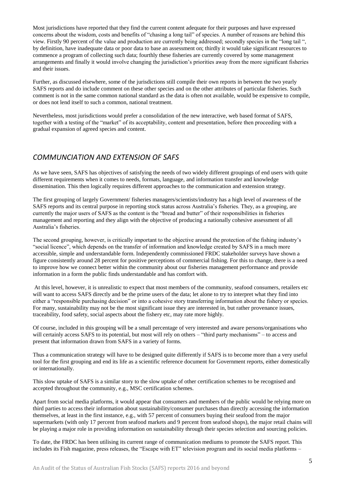Most jurisdictions have reported that they find the current content adequate for their purposes and have expressed concerns about the wisdom, costs and benefits of "chasing a long tail" of species. A number of reasons are behind this view. Firstly 90 percent of the value and production are currently being addressed; secondly species in the "long tail ", by definition, have inadequate data or poor data to base an assessment on; thirdly it would take significant resources to commence a program of collecting such data; fourthly these fisheries are currently covered by some management arrangements and finally it would involve changing the jurisdiction's priorities away from the more significant fisheries and their issues.

Further, as discussed elsewhere, some of the jurisdictions still compile their own reports in between the two yearly SAFS reports and do include comment on these other species and on the other attributes of particular fisheries. Such comment is not in the same common national standard as the data is often not available, would be expensive to compile, or does not lend itself to such a common, national treatment.

Nevertheless, most jurisdictions would prefer a consolidation of the new interactive, web based format of SAFS, together with a testing of the "market" of its acceptability, content and presentation, before then proceeding with a gradual expansion of agreed species and content.

### *COMMUNCIATION AND EXTENSION OF SAFS*

As we have seen, SAFS has objectives of satisfying the needs of two widely different groupings of end users with quite different requirements when it comes to needs, formats, language, and information transfer and knowledge dissemination. This then logically requires different approaches to the communication and extension strategy.

The first grouping of largely Government/ fisheries managers/scientists/industry has a high level of awareness of the SAFS reports and its central purpose in reporting stock status across Australia's fisheries. They, as a grouping, are currently the major users of SAFS as the content is the "bread and butter" of their responsibilities in fisheries management and reporting and they align with the objective of producing a nationally cohesive assessment of all Australia's fisheries.

The second grouping, however, is critically important to the objective around the protection of the fishing industry's "social licence", which depends on the transfer of information and knowledge created by SAFS in a much more accessible, simple and understandable form. Independently commissioned FRDC stakeholder surveys have shown a figure consistently around 28 percent for positive perceptions of commercial fishing. For this to change, there is a need to improve how we connect better within the community about our fisheries management performance and provide information in a form the public finds understandable and has comfort with.

At this level, however, it is unrealistic to expect that most members of the community, seafood consumers, retailers etc will want to access SAFS directly and be the prime users of the data; let alone to try to interpret what they find into either a "responsible purchasing decision" or into a cohesive story transferring information about the fishery or species. For many, sustainability may not be the most significant issue they are interested in, but rather provenance issues, traceability, food safety, social aspects about the fishery etc, may rate more highly.

Of course, included in this grouping will be a small percentage of very interested and aware persons/organisations who will certainly access SAFS to its potential, but most will rely on others – "third party mechanisms" – to access and present that information drawn from SAFS in a variety of forms.

Thus a communication strategy will have to be designed quite differently if SAFS is to become more than a very useful tool for the first grouping and end its life as a scientific reference document for Government reports, either domestically or internationally.

This slow uptake of SAFS is a similar story to the slow uptake of other certification schemes to be recognised and accepted throughout the community, e.g., MSC certification schemes.

Apart from social media platforms, it would appear that consumers and members of the public would be relying more on third parties to access their information about sustainability/consumer purchases than directly accessing the information themselves, at least in the first instance, e.g., with 57 percent of consumers buying their seafood from the major supermarkets (with only 17 percent from seafood markets and 9 percent from seafood shops), the major retail chains will be playing a major role in providing information on sustainability through their species selection and sourcing policies.

To date, the FRDC has been utilising its current range of communication mediums to promote the SAFS report. This includes its Fish magazine, press releases, the "Escape with ET" television program and its social media platforms –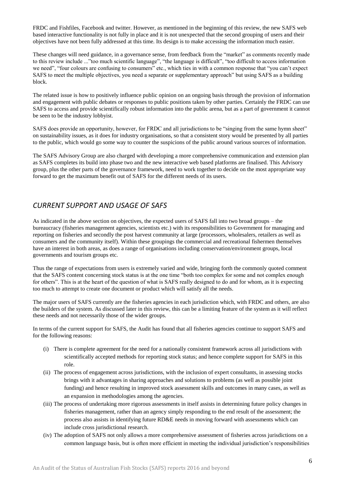FRDC and Fishfiles, Facebook and twitter. However, as mentioned in the beginning of this review, the new SAFS web based interactive functionality is not fully in place and it is not unexpected that the second grouping of users and their objectives have not been fully addressed at this time. Its design is to make accessing the information much easier.

These changes will need guidance, in a governance sense, from feedback from the "market" as comments recently made to this review include ..."too much scientific language", "the language is difficult", "too difficult to access information we need", "four colours are confusing to consumers" etc., which ties in with a common response that "you can't expect SAFS to meet the multiple objectives, you need a separate or supplementary approach" but using SAFS as a building block.

The related issue is how to positively influence public opinion on an ongoing basis through the provision of information and engagement with public debates or responses to public positions taken by other parties. Certainly the FRDC can use SAFS to access and provide scientifically robust information into the public arena, but as a part of government it cannot be seen to be the industry lobbyist.

SAFS does provide an opportunity, however, for FRDC and all jurisdictions to be "singing from the same hymn sheet" on sustainability issues, as it does for industry organisations, so that a consistent story would be presented by all parties to the public, which would go some way to counter the suspicions of the public around various sources of information.

The SAFS Advisory Group are also charged with developing a more comprehensive communication and extension plan as SAFS completes its build into phase two and the new interactive web based platforms are finalised. This Advisory group, plus the other parts of the governance framework, need to work together to decide on the most appropriate way forward to get the maximum benefit out of SAFS for the different needs of its users.

## *CURRENT SUPPORT AND USAGE OF SAFS*

As indicated in the above section on objectives, the expected users of SAFS fall into two broad groups – the bureaucracy (fisheries management agencies, scientists etc.) with its responsibilities to Government for managing and reporting on fisheries and secondly the post harvest community at large (processors, wholesalers, retailers as well as consumers and the community itself). Within these groupings the commercial and recreational fishermen themselves have an interest in both areas, as does a range of organisations including conservation/environment groups, local governments and tourism groups etc.

Thus the range of expectations from users is extremely varied and wide, bringing forth the commonly quoted comment that the SAFS content concerning stock status is at the one time "both too complex for some and not complex enough for others". This is at the heart of the question of what is SAFS really designed to do and for whom, as it is expecting too much to attempt to create one document or product which will satisfy all the needs.

The major users of SAFS currently are the fisheries agencies in each jurisdiction which, with FRDC and others, are also the builders of the system. As discussed later in this review, this can be a limiting feature of the system as it will reflect these needs and not necessarily those of the wider groups.

In terms of the current support for SAFS, the Audit has found that all fisheries agencies continue to support SAFS and for the following reasons:

- (i) There is complete agreement for the need for a nationally consistent framework across all jurisdictions with scientifically accepted methods for reporting stock status; and hence complete support for SAFS in this role.
- (ii) The process of engagement across jurisdictions, with the inclusion of expert consultants, in assessing stocks brings with it advantages in sharing approaches and solutions to problems (as well as possible joint funding) and hence resulting in improved stock assessment skills and outcomes in many cases, as well as an expansion in methodologies among the agencies.
- (iii) The process of undertaking more rigorous assessments in itself assists in determining future policy changes in fisheries management, rather than an agency simply responding to the end result of the assessment; the process also assists in identifying future RD&E needs in moving forward with assessments which can include cross jurisdictional research.
- (iv) The adoption of SAFS not only allows a more comprehensive assessment of fisheries across jurisdictions on a common language basis, but is often more efficient in meeting the individual jurisdiction's responsibilities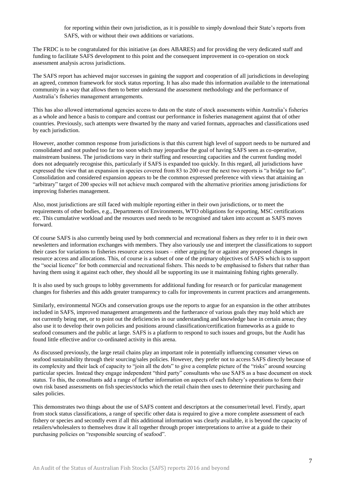for reporting within their own jurisdiction, as it is possible to simply download their State's reports from SAFS, with or without their own additions or variations.

The FRDC is to be congratulated for this initiative (as does ABARES) and for providing the very dedicated staff and funding to facilitate SAFS development to this point and the consequent improvement in co-operation on stock assessment analysis across jurisdictions.

The SAFS report has achieved major successes in gaining the support and cooperation of all jurisdictions in developing an agreed, common framework for stock status reporting. It has also made this information available to the international community in a way that allows them to better understand the assessment methodology and the performance of Australia's fisheries management arrangements.

This has also allowed international agencies access to data on the state of stock assessments within Australia's fisheries as a whole and hence a basis to compare and contrast our performance in fisheries management against that of other countries. Previously, such attempts were thwarted by the many and varied formats, approaches and classifications used by each jurisdiction.

However, another common response from jurisdictions is that this current high level of support needs to be nurtured and consolidated and not pushed too far too soon which may jeopardise the goal of having SAFS seen as co-operative, mainstream business. The jurisdictions vary in their staffing and resourcing capacities and the current funding model does not adequately recognise this, particularly if SAFS is expanded too quickly. In this regard, all jurisdictions have expressed the view that an expansion in species covered from 83 to 200 over the next two reports is "a bridge too far". Consolidation and considered expansion appears to be the common expressed preference with views that attaining an "arbitrary" target of 200 species will not achieve much compared with the alternative priorities among jurisdictions for improving fisheries management.

Also, most jurisdictions are still faced with multiple reporting either in their own jurisdictions, or to meet the requirements of other bodies, e.g., Departments of Environments, WTO obligations for exporting, MSC certifications etc. This cumulative workload and the resources used needs to be recognised and taken into account as SAFS moves forward.

Of course SAFS is also currently being used by both commercial and recreational fishers as they refer to it in their own newsletters and information exchanges with members. They also variously use and interpret the classifications to support their cases for variations to fisheries resource access issues – either arguing for or against any proposed changes in resource access and allocations. This, of course is a subset of one of the primary objectives of SAFS which is to support the "social licence" for both commercial and recreational fishers. This needs to be emphasised to fishers that rather than having them using it against each other, they should all be supporting its use it maintaining fishing rights generally.

It is also used by such groups to lobby governments for additional funding for research or for particular management changes for fisheries and this adds greater transparency to calls for improvements in current practices and arrangements.

Similarly, environmental NGOs and conservation groups use the reports to argue for an expansion in the other attributes included in SAFS, improved management arrangements and the furtherance of various goals they may hold which are not currently being met, or to point out the deficiencies in our understanding and knowledge base in certain areas; they also use it to develop their own policies and positions around classification/certification frameworks as a guide to seafood consumers and the public at large. SAFS is a platform to respond to such issues and groups, but the Audit has found little effective and/or co-ordinated activity in this arena.

As discussed previously, the large retail chains play an important role in potentially influencing consumer views on seafood sustainability through their sourcing/sales policies. However, they prefer not to access SAFS directly because of its complexity and their lack of capacity to "join all the dots" to give a complete picture of the "risks" around sourcing particular species. Instead they engage independent "third party" consultants who use SAFS as a base document on stock status. To this, the consultants add a range of further information on aspects of each fishery's operations to form their own risk based assessments on fish species/stocks which the retail chain then uses to determine their purchasing and sales policies.

This demonstrates two things about the use of SAFS content and descriptors at the consumer/retail level. Firstly, apart from stock status classifications, a range of specific other data is required to give a more complete assessment of each fishery or species and secondly even if all this additional information was clearly available, it is beyond the capacity of retailers/wholesalers to themselves draw it all together through proper interpretations to arrive at a guide to their purchasing policies on "responsible sourcing of seafood".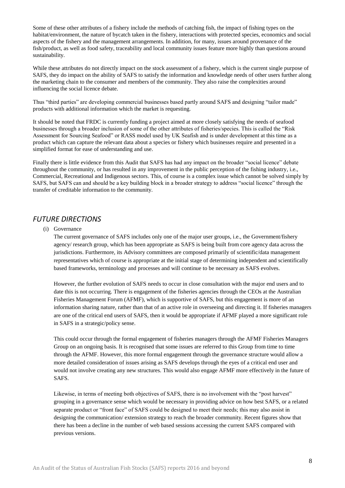Some of these other attributes of a fishery include the methods of catching fish, the impact of fishing types on the habitat/environment, the nature of bycatch taken in the fishery, interactions with protected species, economics and social aspects of the fishery and the management arrangements. In addition, for many, issues around provenance of the fish/product, as well as food safety, traceability and local community issues feature more highly than questions around sustainability.

While these attributes do not directly impact on the stock assessment of a fishery, which is the current single purpose of SAFS, they do impact on the ability of SAFS to satisfy the information and knowledge needs of other users further along the marketing chain to the consumer and members of the community. They also raise the complexities around influencing the social licence debate.

Thus "third parties" are developing commercial businesses based partly around SAFS and designing "tailor made" products with additional information which the market is requesting.

It should be noted that FRDC is currently funding a project aimed at more closely satisfying the needs of seafood businesses through a broader inclusion of some of the other attributes of fisheries/species. This is called the "Risk Assessment for Sourcing Seafood" or RASS model used by UK Seafish and is under development at this time as a product which can capture the relevant data about a species or fishery which businesses require and presented in a simplified format for ease of understanding and use.

Finally there is little evidence from this Audit that SAFS has had any impact on the broader "social licence" debate throughout the community, or has resulted in any improvement in the public perception of the fishing industry, i.e., Commercial, Recreational and Indigenous sectors. This, of course is a complex issue which cannot be solved simply by SAFS, but SAFS can and should be a key building block in a broader strategy to address "social licence" through the transfer of creditable information to the community.

### *FUTURE DIRECTIONS*

#### (i) Governance

The current governance of SAFS includes only one of the major user groups, i.e., the Government/fishery agency/ research group, which has been appropriate as SAFS is being built from core agency data across the jurisdictions. Furthermore, its Advisory committees are composed primarily of scientific/data management representatives which of course is appropriate at the initial stage of determining independent and scientifically based frameworks, terminology and processes and will continue to be necessary as SAFS evolves.

However, the further evolution of SAFS needs to occur in close consultation with the major end users and to date this is not occurring. There is engagement of the fisheries agencies through the CEOs at the Australian Fisheries Management Forum (AFMF), which is supportive of SAFS, but this engagement is more of an information sharing nature, rather than that of an active role in overseeing and directing it. If fisheries managers are one of the critical end users of SAFS, then it would be appropriate if AFMF played a more significant role in SAFS in a strategic/policy sense.

This could occur through the formal engagement of fisheries managers through the AFMF Fisheries Managers Group on an ongoing basis. It is recognised that some issues are referred to this Group from time to time through the AFMF. However, this more formal engagement through the governance structure would allow a more detailed consideration of issues arising as SAFS develops through the eyes of a critical end user and would not involve creating any new structures. This would also engage AFMF more effectively in the future of SAFS.

Likewise, in terms of meeting both objectives of SAFS, there is no involvement with the "post harvest" grouping in a governance sense which would be necessary in providing advice on how best SAFS, or a related separate product or "front face" of SAFS could be designed to meet their needs; this may also assist in designing the communication/ extension strategy to reach the broader community. Recent figures show that there has been a decline in the number of web based sessions accessing the current SAFS compared with previous versions.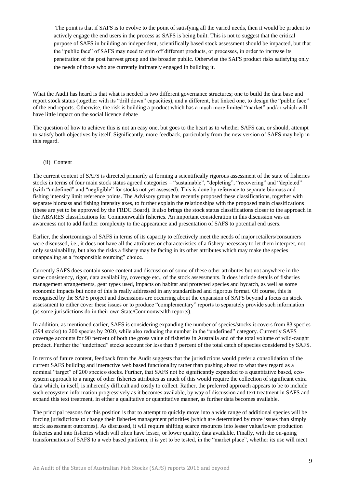The point is that if SAFS is to evolve to the point of satisfying all the varied needs, then it would be prudent to actively engage the end users in the process as SAFS is being built. This is not to suggest that the critical purpose of SAFS in building an independent, scientifically based stock assessment should be impacted, but that the "public face" of SAFS may need to spin off different products, or processes, in order to increase its penetration of the post harvest group and the broader public. Otherwise the SAFS product risks satisfying only the needs of those who are currently intimately engaged in building it.

What the Audit has heard is that what is needed is two different governance structures; one to build the data base and report stock status (together with its "drill down" capacities), and a different, but linked one, to design the "public face" of the end reports. Otherwise, the risk is building a product which has a much more limited "market" and/or which will have little impact on the social licence debate

The question of how to achieve this is not an easy one, but goes to the heart as to whether SAFS can, or should, attempt to satisfy both objectives by itself. Significantly, more feedback, particularly from the new version of SAFS may help in this regard.

#### (ii) Content

The current content of SAFS is directed primarily at forming a scientifically rigorous assessment of the state of fisheries stocks in terms of four main stock status agreed categories – "sustainable", "depleting", "recovering" and "depleted" (with "undefined" and "negligible" for stocks not yet assessed). This is done by reference to separate biomass and fishing intensity limit reference points. The Advisory group has recently proposed these classifications, together with separate biomass and fishing intensity axes, to further explain the relationships with the proposed main classifications (these are yet to be approved by the FRDC Board). It also brings the stock status classifications closer to the approach in the ABARES classifications for Commonwealth fisheries. An important consideration in this discussion was an awareness not to add further complexity to the appearance and presentation of SAFS to potential end users.

Earlier, the shortcomings of SAFS in terms of its capacity to effectively meet the needs of major retailers/consumers were discussed, i.e., it does not have all the attributes or characteristics of a fishery necessary to let them interpret, not only sustainability, but also the risks a fishery may be facing in its other attributes which may make the species unappealing as a "responsible sourcing" choice.

Currently SAFS does contain some content and discussion of some of these other attributes but not anywhere in the same consistency, rigor, data availability, coverage etc., of the stock assessments. It does include details of fisheries management arrangements, gear types used, impacts on habitat and protected species and bycatch, as well as some economic impacts but none of this is really addressed in any standardised and rigorous format. Of course, this is recognised by the SAFS project and discussions are occurring about the expansion of SAFS beyond a focus on stock assessment to either cover these issues or to produce "complementary" reports to separately provide such information (as some jurisdictions do in their own State/Commonwealth reports).

In addition, as mentioned earlier, SAFS is considering expanding the number of species/stocks it covers from 83 species (294 stocks) to 200 species by 2020, while also reducing the number in the "undefined" category. Currently SAFS coverage accounts for 90 percent of both the gross value of fisheries in Australia and of the total volume of wild-caught product. Further the "undefined" stocks account for less than 5 percent of the total catch of species considered by SAFS.

In terms of future content, feedback from the Audit suggests that the jurisdictions would prefer a consolidation of the current SAFS building and interactive web based functionality rather than pushing ahead to what they regard as a nominal "target" of 200 species/stocks. Further, that SAFS not be significantly expanded to a quantitative based, ecosystem approach to a range of other fisheries attributes as much of this would require the collection of significant extra data which, in itself, is inherently difficult and costly to collect. Rather, the preferred approach appears to be to include such ecosystem information progressively as it becomes available, by way of discussion and text treatment in SAFS and expand this text treatment, in either a qualitative or quantitative manner, as further data becomes available.

The principal reasons for this position is that to attempt to quickly move into a wide range of additional species will be forcing jurisdictions to change their fisheries management priorities (which are determined by more issues than simply stock assessment outcomes). As discussed, it will require shifting scarce resources into lesser value/lower production fisheries and into fisheries which will often have lesser, or lower quality, data available. Finally, with the on-going transformations of SAFS to a web based platform, it is yet to be tested, in the "market place", whether its use will meet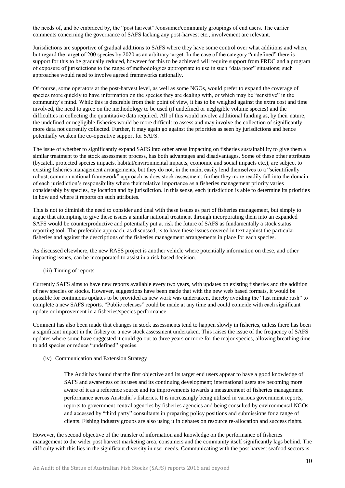the needs of, and be embraced by, the "post harvest" /consumer/community groupings of end users. The earlier comments concerning the governance of SAFS lacking any post-harvest etc., involvement are relevant.

Jurisdictions are supportive of gradual additions to SAFS where they have some control over what additions and when, but regard the target of 200 species by 2020 as an arbitrary target. In the case of the category "undefined" there is support for this to be gradually reduced, however for this to be achieved will require support from FRDC and a program of exposure of jurisdictions to the range of methodologies appropriate to use in such "data poor" situations; such approaches would need to involve agreed frameworks nationally.

Of course, some operators at the post-harvest level, as well as some NGOs, would prefer to expand the coverage of species more quickly to have information on the species they are dealing with, or which may be "sensitive" in the community's mind. While this is desirable from their point of view, it has to be weighed against the extra cost and time involved, the need to agree on the methodology to be used (if undefined or negligible volume species) and the difficulties in collecting the quantitative data required. All of this would involve additional funding as, by their nature, the undefined or negligible fisheries would be more difficult to assess and may involve the collection of significantly more data not currently collected. Further, it may again go against the priorities as seen by jurisdictions and hence potentially weaken the co-operative support for SAFS.

The issue of whether to significantly expand SAFS into other areas impacting on fisheries sustainability to give them a similar treatment to the stock assessment process, has both advantages and disadvantages. Some of these other attributes (bycatch, protected species impacts, habitat/environmental impacts, economic and social impacts etc.), are subject to existing fisheries management arrangements, but they do not, in the main, easily lend themselves to a "scientifically robust, common national framework" approach as does stock assessment; further they more readily fall into the domain of each jurisdiction's responsibility where their relative importance as a fisheries management priority varies considerably by species, by location and by jurisdiction. In this sense, each jurisdiction is able to determine its priorities in how and where it reports on such attributes.

This is not to diminish the need to consider and deal with these issues as part of fisheries management, but simply to argue that attempting to give these issues a similar national treatment through incorporating them into an expanded SAFS would be counterproductive and potentially put at risk the future of SAFS as fundamentally a stock status reporting tool. The preferable approach, as discussed, is to have these issues covered in text against the particular fisheries and against the descriptions of the fisheries management arrangements in place for each species.

As discussed elsewhere, the new RASS project is another vehicle where potentially information on these, and other impacting issues, can be incorporated to assist in a risk based decision.

(iii) Timing of reports

Currently SAFS aims to have new reports available every two years, with updates on existing fisheries and the addition of new species or stocks. However, suggestions have been made that with the new web based formats, it would be possible for continuous updates to be provided as new work was undertaken, thereby avoiding the "last minute rush" to complete a new SAFS reports. "Public releases" could be made at any time and could coincide with each significant update or improvement in a fisheries/species performance.

Comment has also been made that changes in stock assessments tend to happen slowly in fisheries, unless there has been a significant impact in the fishery or a new stock assessment undertaken. This raises the issue of the frequency of SAFS updates where some have suggested it could go out to three years or more for the major species, allowing breathing time to add species or reduce "undefined" species.

(iv) Communication and Extension Strategy

The Audit has found that the first objective and its target end users appear to have a good knowledge of SAFS and awareness of its uses and its continuing development; international users are becoming more aware of it as a reference source and its improvements towards a measurement of fisheries management performance across Australia's fisheries. It is increasingly being utilised in various government reports, reports to government central agencies by fisheries agencies and being consulted by environmental NGOs and accessed by "third party" consultants in preparing policy positions and submissions for a range of clients. Fishing industry groups are also using it in debates on resource re-allocation and success rights.

However, the second objective of the transfer of information and knowledge on the performance of fisheries management to the wider post harvest marketing area, consumers and the community itself significantly lags behind. The difficulty with this lies in the significant diversity in user needs. Communicating with the post harvest seafood sectors is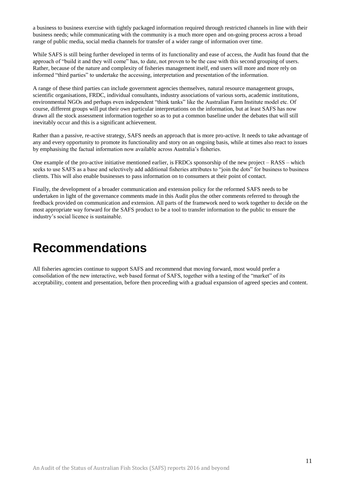a business to business exercise with tightly packaged information required through restricted channels in line with their business needs; while communicating with the community is a much more open and on-going process across a broad range of public media, social media channels for transfer of a wider range of information over time.

While SAFS is still being further developed in terms of its functionality and ease of access, the Audit has found that the approach of "build it and they will come" has, to date, not proven to be the case with this second grouping of users. Rather, because of the nature and complexity of fisheries management itself, end users will more and more rely on informed "third parties" to undertake the accessing, interpretation and presentation of the information.

A range of these third parties can include government agencies themselves, natural resource management groups, scientific organisations, FRDC, individual consultants, industry associations of various sorts, academic institutions, environmental NGOs and perhaps even independent "think tanks" like the Australian Farm Institute model etc. Of course, different groups will put their own particular interpretations on the information, but at least SAFS has now drawn all the stock assessment information together so as to put a common baseline under the debates that will still inevitably occur and this is a significant achievement.

Rather than a passive, re-active strategy, SAFS needs an approach that is more pro-active. It needs to take advantage of any and every opportunity to promote its functionality and story on an ongoing basis, while at times also react to issues by emphasising the factual information now available across Australia's fisheries.

One example of the pro-active initiative mentioned earlier, is FRDCs sponsorship of the new project – RASS – which seeks to use SAFS as a base and selectively add additional fisheries attributes to "join the dots" for business to business clients. This will also enable businesses to pass information on to consumers at their point of contact.

Finally, the development of a broader communication and extension policy for the reformed SAFS needs to be undertaken in light of the governance comments made in this Audit plus the other comments referred to through the feedback provided on communication and extension. All parts of the framework need to work together to decide on the most appropriate way forward for the SAFS product to be a tool to transfer information to the public to ensure the industry's social licence is sustainable.

## <span id="page-15-0"></span>**Recommendations**

All fisheries agencies continue to support SAFS and recommend that moving forward, most would prefer a consolidation of the new interactive, web based format of SAFS, together with a testing of the "market" of its acceptability, content and presentation, before then proceeding with a gradual expansion of agreed species and content.